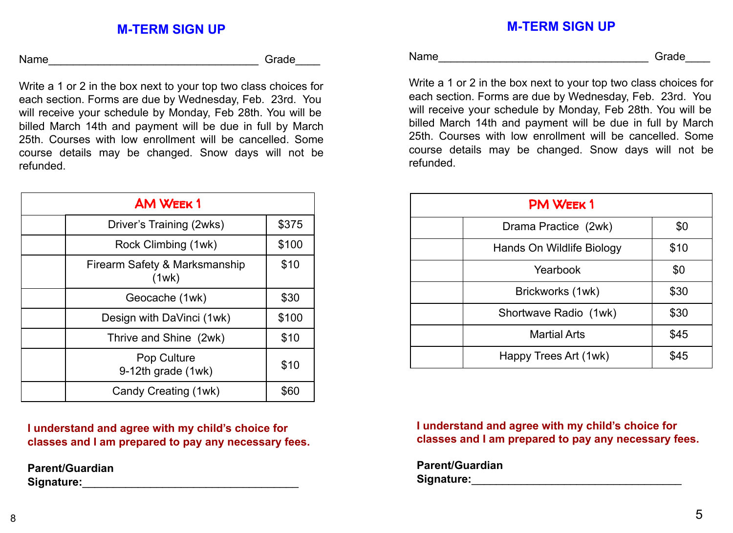## **M-TERM SIGN UP**

Name\_\_\_\_\_\_\_\_\_\_\_\_\_\_\_\_\_\_\_\_\_\_\_\_\_\_\_\_\_\_\_\_\_\_ Grade\_\_\_\_

Write a 1 or 2 in the box next to your top two class choices for each section. Forms are due by Wednesday, Feb. 23rd. You will receive your schedule by Monday, Feb 28th. You will be billed March 14th and payment will be due in full by March 25th. Courses with low enrollment will be cancelled. Some course details may be changed. Snow days will not be refunded.

| <b>AM WEEK1</b> |                                        |       |  |
|-----------------|----------------------------------------|-------|--|
|                 | Driver's Training (2wks)               | \$375 |  |
|                 | Rock Climbing (1wk)                    | \$100 |  |
|                 | Firearm Safety & Marksmanship<br>(1wk) | \$10  |  |
|                 | Geocache (1wk)                         | \$30  |  |
|                 | Design with DaVinci (1wk)              | \$100 |  |
|                 | Thrive and Shine (2wk)                 | \$10  |  |
|                 | Pop Culture<br>9-12th grade (1wk)      | \$10  |  |
|                 | Candy Creating (1wk)                   | 560   |  |

**I understand and agree with my child's choice for classes and I am prepared to pay any necessary fees.**

**Parent/Guardian Signature:**\_\_\_\_\_\_\_\_\_\_\_\_\_\_\_\_\_\_\_\_\_\_\_\_\_\_\_\_\_\_\_\_\_\_\_ **M-TERM SIGN UP**

Name\_\_\_\_\_\_\_\_\_\_\_\_\_\_\_\_\_\_\_\_\_\_\_\_\_\_\_\_\_\_\_\_\_\_ Grade\_\_\_\_

Write a 1 or 2 in the box next to your top two class choices for each section. Forms are due by Wednesday, Feb. 23rd. You will receive your schedule by Monday, Feb 28th. You will be billed March 14th and payment will be due in full by March 25th. Courses with low enrollment will be cancelled. Some course details may be changed. Snow days will not be refunded.

| <b>PM WEEK1</b> |                           |      |  |  |
|-----------------|---------------------------|------|--|--|
|                 | Drama Practice (2wk)      | \$0  |  |  |
|                 | Hands On Wildlife Biology | \$10 |  |  |
|                 | Yearbook                  | \$0  |  |  |
|                 | Brickworks (1wk)          | \$30 |  |  |
|                 | Shortwave Radio (1wk)     | \$30 |  |  |
|                 | <b>Martial Arts</b>       | \$45 |  |  |
|                 | Happy Trees Art (1wk)     | \$45 |  |  |

**I understand and agree with my child's choice for classes and I am prepared to pay any necessary fees.**

**Parent/Guardian Signature:**\_\_\_\_\_\_\_\_\_\_\_\_\_\_\_\_\_\_\_\_\_\_\_\_\_\_\_\_\_\_\_\_\_\_